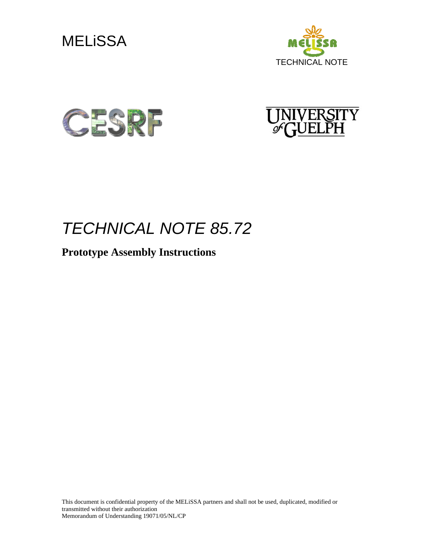







# *TECHNICAL NOTE 85.72*

# **Prototype Assembly Instructions**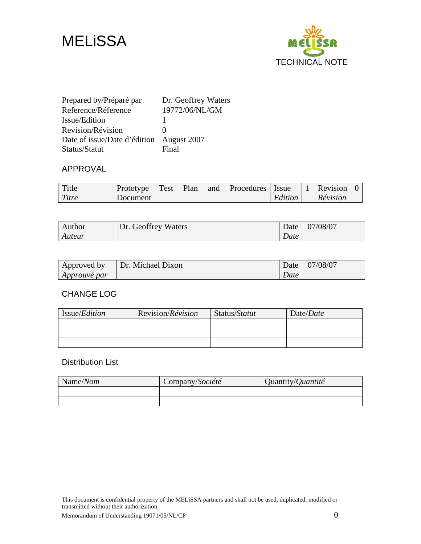



| Prepared by/Préparé par                  | Dr. Geoffrey Waters |
|------------------------------------------|---------------------|
| Reference/Réference                      | 19772/06/NL/GM      |
| Issue/Edition                            |                     |
| Revision/Révision                        |                     |
| Date of issue/Date d'édition August 2007 |                     |
| Status/Statut                            | Final               |

#### APPROVAL

| Title | Prototype | Test | Plan | and | Procedures   Issue |         | 1 Revision |  |
|-------|-----------|------|------|-----|--------------------|---------|------------|--|
| Titre | Document  |      |      |     |                    | Edition | Révision   |  |

| Author | Dr. Geoffrey Waters |      | Date 07/08/07 |
|--------|---------------------|------|---------------|
| Auteur |                     | Date |               |

| Approved by         | Dr. Michael Dixon |      | Date   07/08/07 |
|---------------------|-------------------|------|-----------------|
| <i>Approuvé par</i> |                   | Date |                 |

#### CHANGE LOG

| Issue/ <i>Edition</i> | Revision/Révision | Status/Statut | Date/Date |
|-----------------------|-------------------|---------------|-----------|
|                       |                   |               |           |
|                       |                   |               |           |
|                       |                   |               |           |

#### Distribution List

| Name/Nom | Company/Société | Quantity/ <i>Quantité</i> |
|----------|-----------------|---------------------------|
|          |                 |                           |
|          |                 |                           |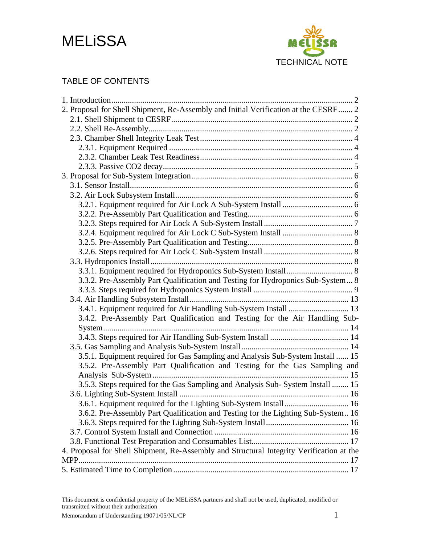



### TABLE OF CONTENTS

| 2. Proposal for Shell Shipment, Re-Assembly and Initial Verification at the CESRF 2      |  |
|------------------------------------------------------------------------------------------|--|
|                                                                                          |  |
|                                                                                          |  |
|                                                                                          |  |
|                                                                                          |  |
|                                                                                          |  |
|                                                                                          |  |
|                                                                                          |  |
|                                                                                          |  |
|                                                                                          |  |
|                                                                                          |  |
|                                                                                          |  |
|                                                                                          |  |
|                                                                                          |  |
|                                                                                          |  |
|                                                                                          |  |
|                                                                                          |  |
|                                                                                          |  |
| 3.3.2. Pre-Assembly Part Qualification and Testing for Hydroponics Sub-System 8          |  |
|                                                                                          |  |
|                                                                                          |  |
| 3.4.1. Equipment required for Air Handling Sub-System Install  13                        |  |
| 3.4.2. Pre-Assembly Part Qualification and Testing for the Air Handling Sub-             |  |
|                                                                                          |  |
|                                                                                          |  |
|                                                                                          |  |
| 3.5.1. Equipment required for Gas Sampling and Analysis Sub-System Install  15           |  |
| 3.5.2. Pre-Assembly Part Qualification and Testing for the Gas Sampling and              |  |
|                                                                                          |  |
| 3.5.3. Steps required for the Gas Sampling and Analysis Sub- System Install  15          |  |
|                                                                                          |  |
|                                                                                          |  |
| 3.6.2. Pre-Assembly Part Qualification and Testing for the Lighting Sub-System 16        |  |
|                                                                                          |  |
|                                                                                          |  |
|                                                                                          |  |
| 4. Proposal for Shell Shipment, Re-Assembly and Structural Integrity Verification at the |  |
|                                                                                          |  |
|                                                                                          |  |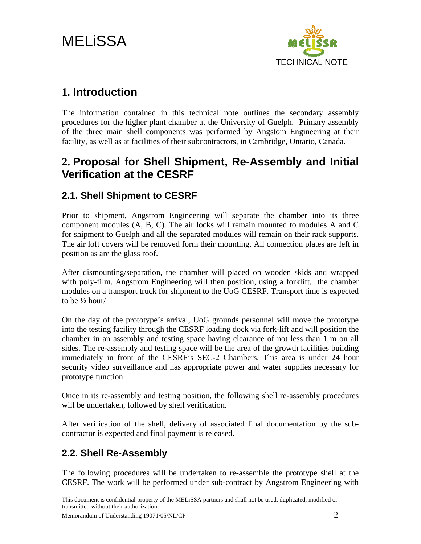<span id="page-3-0"></span>MELiSSA



## **1. Introduction**

The information contained in this technical note outlines the secondary assembly procedures for the higher plant chamber at the University of Guelph. Primary assembly of the three main shell components was performed by Angstom Engineering at their facility, as well as at facilities of their subcontractors, in Cambridge, Ontario, Canada.

## **2. Proposal for Shell Shipment, Re-Assembly and Initial Verification at the CESRF**

## **2.1. Shell Shipment to CESRF**

Prior to shipment, Angstrom Engineering will separate the chamber into its three component modules (A, B, C). The air locks will remain mounted to modules A and C for shipment to Guelph and all the separated modules will remain on their rack supports. The air loft covers will be removed form their mounting. All connection plates are left in position as are the glass roof.

After dismounting/separation, the chamber will placed on wooden skids and wrapped with poly-film. Angstrom Engineering will then position, using a forklift, the chamber modules on a transport truck for shipment to the UoG CESRF. Transport time is expected to be ½ hour/

On the day of the prototype's arrival, UoG grounds personnel will move the prototype into the testing facility through the CESRF loading dock via fork-lift and will position the chamber in an assembly and testing space having clearance of not less than 1 m on all sides. The re-assembly and testing space will be the area of the growth facilities building immediately in front of the CESRF's SEC-2 Chambers. This area is under 24 hour security video surveillance and has appropriate power and water supplies necessary for prototype function.

Once in its re-assembly and testing position, the following shell re-assembly procedures will be undertaken, followed by shell verification.

After verification of the shell, delivery of associated final documentation by the subcontractor is expected and final payment is released.

## **2.2. Shell Re-Assembly**

The following procedures will be undertaken to re-assemble the prototype shell at the CESRF. The work will be performed under sub-contract by Angstrom Engineering with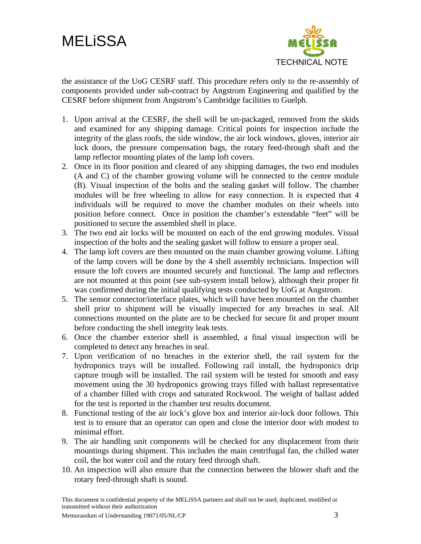



the assistance of the UoG CESRF staff. This procedure refers only to the re-assembly of components provided under sub-contract by Angstrom Engineering and qualified by the CESRF before shipment from Angstrom's Cambridge facilities to Guelph.

- 1. Upon arrival at the CESRF, the shell will be un-packaged, removed from the skids and examined for any shipping damage. Critical points for inspection include the integrity of the glass roofs, the side window, the air lock windows, gloves, interior air lock doors, the pressure compensation bags, the rotary feed-through shaft and the lamp reflector mounting plates of the lamp loft covers.
- 2. Once in its floor position and cleared of any shipping damages, the two end modules (A and C) of the chamber growing volume will be connected to the centre module (B). Visual inspection of the bolts and the sealing gasket will follow. The chamber modules will be free wheeling to allow for easy connection. It is expected that 4 individuals will be required to move the chamber modules on their wheels into position before connect. Once in position the chamber's extendable "feet" will be positioned to secure the assembled shell in place.
- 3. The two end air locks will be mounted on each of the end growing modules. Visual inspection of the bolts and the sealing gasket will follow to ensure a proper seal.
- 4. The lamp loft covers are then mounted on the main chamber growing volume. Lifting of the lamp covers will be done by the 4 shell assembly technicians. Inspection will ensure the loft covers are mounted securely and functional. The lamp and reflectors are not mounted at this point (see sub-system install below), although their proper fit was confirmed during the initial qualifying tests conducted by UoG at Angstrom.
- 5. The sensor connector/interface plates, which will have been mounted on the chamber shell prior to shipment will be visually inspected for any breaches in seal. All connections mounted on the plate are to be checked for secure fit and proper mount before conducting the shell integrity leak tests.
- 6. Once the chamber exterior shell is assembled, a final visual inspection will be completed to detect any breaches in seal.
- 7. Upon verification of no breaches in the exterior shell, the rail system for the hydroponics trays will be installed. Following rail install, the hydroponics drip capture trough will be installed. The rail system will be tested for smooth and easy movement using the 30 hydroponics growing trays filled with ballast representative of a chamber filled with crops and saturated Rockwool. The weight of ballast added for the test is reported in the chamber test results document.
- 8. Functional testing of the air lock's glove box and interior air-lock door follows. This test is to ensure that an operator can open and close the interior door with modest to minimal effort.
- 9. The air handling unit components will be checked for any displacement from their mountings during shipment. This includes the main centrifugal fan, the chilled water coil, the hot water coil and the rotary feed through shaft.
- 10. An inspection will also ensure that the connection between the blower shaft and the rotary feed-through shaft is sound.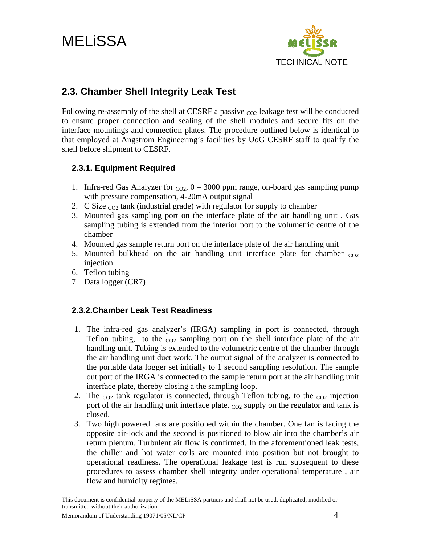<span id="page-5-0"></span>MELiSSA



## **2.3. Chamber Shell Integrity Leak Test**

Following re-assembly of the shell at CESRF a passive  $_{\text{CO2}}$  leakage test will be conducted to ensure proper connection and sealing of the shell modules and secure fits on the interface mountings and connection plates. The procedure outlined below is identical to that employed at Angstrom Engineering's facilities by UoG CESRF staff to qualify the shell before shipment to CESRF.

#### **2.3.1. Equipment Required**

- 1. Infra-red Gas Analyzer for  $_{CO2}$ ,  $0 3000$  ppm range, on-board gas sampling pump with pressure compensation, 4-20mA output signal
- 2. C Size  $_{CO2}$  tank (industrial grade) with regulator for supply to chamber
- 3. Mounted gas sampling port on the interface plate of the air handling unit . Gas sampling tubing is extended from the interior port to the volumetric centre of the chamber
- 4. Mounted gas sample return port on the interface plate of the air handling unit
- 5. Mounted bulkhead on the air handling unit interface plate for chamber  $_{CO2}$ injection
- 6. Teflon tubing
- 7. Data logger (CR7)

#### **2.3.2.Chamber Leak Test Readiness**

- 1. The infra-red gas analyzer's (IRGA) sampling in port is connected, through Teflon tubing, to the  $_{CO2}$  sampling port on the shell interface plate of the air handling unit. Tubing is extended to the volumetric centre of the chamber through the air handling unit duct work. The output signal of the analyzer is connected to the portable data logger set initially to 1 second sampling resolution. The sample out port of the IRGA is connected to the sample return port at the air handling unit interface plate, thereby closing a the sampling loop.
- 2. The  $_{CO2}$  tank regulator is connected, through Teflon tubing, to the  $_{CO2}$  injection port of the air handling unit interface plate.  $_{\text{CO2}}$  supply on the regulator and tank is closed.
- 3. Two high powered fans are positioned within the chamber. One fan is facing the opposite air-lock and the second is positioned to blow air into the chamber's air return plenum. Turbulent air flow is confirmed. In the aforementioned leak tests, the chiller and hot water coils are mounted into position but not brought to operational readiness. The operational leakage test is run subsequent to these procedures to assess chamber shell integrity under operational temperature , air flow and humidity regimes.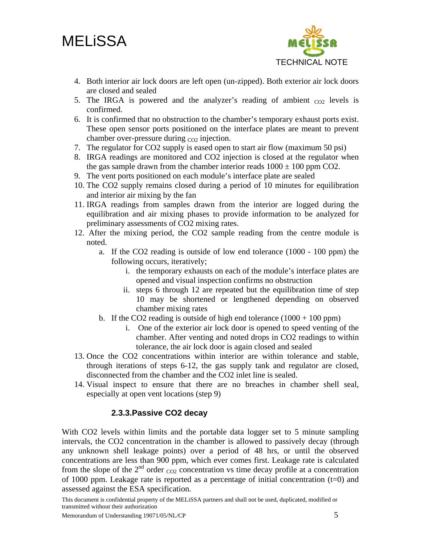# <span id="page-6-0"></span>**MELISSA**



- 4. Both interior air lock doors are left open (un-zipped). Both exterior air lock doors are closed and sealed
- 5. The IRGA is powered and the analyzer's reading of ambient  $_{CO2}$  levels is confirmed.
- 6. It is confirmed that no obstruction to the chamber's temporary exhaust ports exist. These open sensor ports positioned on the interface plates are meant to prevent chamber over-pressure during  $_{CO2}$  injection.
- 7. The regulator for CO2 supply is eased open to start air flow (maximum 50 psi)
- 8. IRGA readings are monitored and CO2 injection is closed at the regulator when the gas sample drawn from the chamber interior reads  $1000 \pm 100$  ppm CO2.
- 9. The vent ports positioned on each module's interface plate are sealed
- 10. The CO2 supply remains closed during a period of 10 minutes for equilibration and interior air mixing by the fan
- 11. IRGA readings from samples drawn from the interior are logged during the equilibration and air mixing phases to provide information to be analyzed for preliminary assessments of CO2 mixing rates.
- 12. After the mixing period, the CO2 sample reading from the centre module is noted.
	- a. If the CO2 reading is outside of low end tolerance (1000 100 ppm) the following occurs, iteratively;
		- i. the temporary exhausts on each of the module's interface plates are opened and visual inspection confirms no obstruction
		- ii. steps 6 through 12 are repeated but the equilibration time of step 10 may be shortened or lengthened depending on observed chamber mixing rates
	- b. If the CO2 reading is outside of high end tolerance  $(1000 + 100 \text{ ppm})$ 
		- i. One of the exterior air lock door is opened to speed venting of the chamber. After venting and noted drops in CO2 readings to within tolerance, the air lock door is again closed and sealed
- 13. Once the CO2 concentrations within interior are within tolerance and stable, through iterations of steps 6-12, the gas supply tank and regulator are closed, disconnected from the chamber and the CO2 inlet line is sealed.
- 14. Visual inspect to ensure that there are no breaches in chamber shell seal, especially at open vent locations (step 9)

#### **2.3.3.Passive CO2 decay**

With CO2 levels within limits and the portable data logger set to 5 minute sampling intervals, the CO2 concentration in the chamber is allowed to passively decay (through any unknown shell leakage points) over a period of 48 hrs, or until the observed concentrations are less than 900 ppm, which ever comes first. Leakage rate is calculated from the slope of the  $2<sup>nd</sup>$  order  $_{CO2}$  concentration vs time decay profile at a concentration of 1000 ppm. Leakage rate is reported as a percentage of initial concentration  $(t=0)$  and assessed against the ESA specification.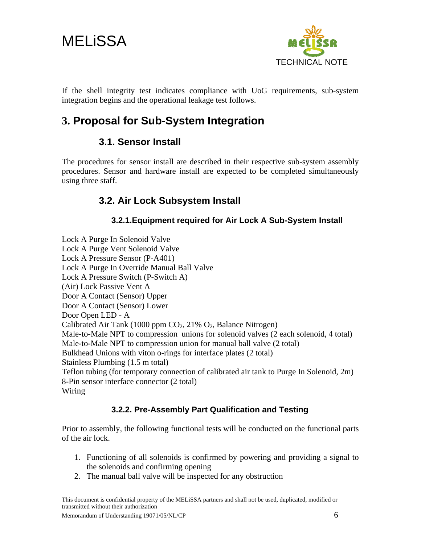<span id="page-7-0"></span>



If the shell integrity test indicates compliance with UoG requirements, sub-system integration begins and the operational leakage test follows.

# **3. Proposal for Sub-System Integration**

### **3.1. Sensor Install**

The procedures for sensor install are described in their respective sub-system assembly procedures. Sensor and hardware install are expected to be completed simultaneously using three staff.

## **3.2. Air Lock Subsystem Install**

#### **3.2.1.Equipment required for Air Lock A Sub-System Install**

Lock A Purge In Solenoid Valve Lock A Purge Vent Solenoid Valve Lock A Pressure Sensor (P-A401) Lock A Purge In Override Manual Ball Valve Lock A Pressure Switch (P-Switch A) (Air) Lock Passive Vent A Door A Contact (Sensor) Upper Door A Contact (Sensor) Lower Door Open LED - A Calibrated Air Tank (1000 ppm CO<sub>2</sub>, 21% O<sub>2</sub>, Balance Nitrogen) Male-to-Male NPT to compression unions for solenoid valves (2 each solenoid, 4 total) Male-to-Male NPT to compression union for manual ball valve (2 total) Bulkhead Unions with viton o-rings for interface plates (2 total) Stainless Plumbing (1.5 m total) Teflon tubing (for temporary connection of calibrated air tank to Purge In Solenoid, 2m) 8-Pin sensor interface connector (2 total) Wiring

#### **3.2.2. Pre-Assembly Part Qualification and Testing**

Prior to assembly, the following functional tests will be conducted on the functional parts of the air lock.

- 1. Functioning of all solenoids is confirmed by powering and providing a signal to the solenoids and confirming opening
- 2. The manual ball valve will be inspected for any obstruction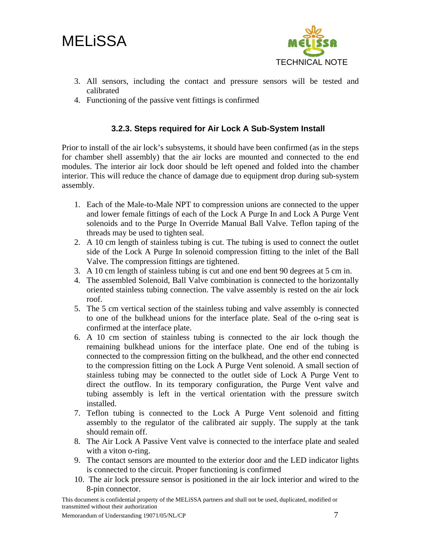<span id="page-8-0"></span>MELiSSA



- 3. All sensors, including the contact and pressure sensors will be tested and calibrated
- 4. Functioning of the passive vent fittings is confirmed

#### **3.2.3. Steps required for Air Lock A Sub-System Install**

Prior to install of the air lock's subsystems, it should have been confirmed (as in the steps for chamber shell assembly) that the air locks are mounted and connected to the end modules. The interior air lock door should be left opened and folded into the chamber interior. This will reduce the chance of damage due to equipment drop during sub-system assembly.

- 1. Each of the Male-to-Male NPT to compression unions are connected to the upper and lower female fittings of each of the Lock A Purge In and Lock A Purge Vent solenoids and to the Purge In Override Manual Ball Valve. Teflon taping of the threads may be used to tighten seal.
- 2. A 10 cm length of stainless tubing is cut. The tubing is used to connect the outlet side of the Lock A Purge In solenoid compression fitting to the inlet of the Ball Valve. The compression fittings are tightened.
- 3. A 10 cm length of stainless tubing is cut and one end bent 90 degrees at 5 cm in.
- 4. The assembled Solenoid, Ball Valve combination is connected to the horizontally oriented stainless tubing connection. The valve assembly is rested on the air lock roof.
- 5. The 5 cm vertical section of the stainless tubing and valve assembly is connected to one of the bulkhead unions for the interface plate. Seal of the o-ring seat is confirmed at the interface plate.
- 6. A 10 cm section of stainless tubing is connected to the air lock though the remaining bulkhead unions for the interface plate. One end of the tubing is connected to the compression fitting on the bulkhead, and the other end connected to the compression fitting on the Lock A Purge Vent solenoid. A small section of stainless tubing may be connected to the outlet side of Lock A Purge Vent to direct the outflow. In its temporary configuration, the Purge Vent valve and tubing assembly is left in the vertical orientation with the pressure switch installed.
- 7. Teflon tubing is connected to the Lock A Purge Vent solenoid and fitting assembly to the regulator of the calibrated air supply. The supply at the tank should remain off.
- 8. The Air Lock A Passive Vent valve is connected to the interface plate and sealed with a viton o-ring.
- 9. The contact sensors are mounted to the exterior door and the LED indicator lights is connected to the circuit. Proper functioning is confirmed
- 10. The air lock pressure sensor is positioned in the air lock interior and wired to the 8-pin connector.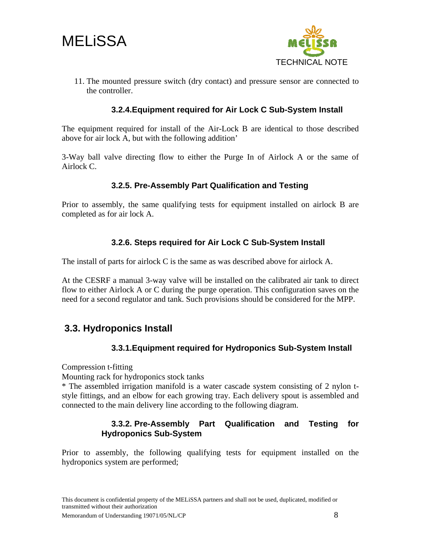<span id="page-9-0"></span>**MELISSA** 



11. The mounted pressure switch (dry contact) and pressure sensor are connected to the controller.

#### **3.2.4.Equipment required for Air Lock C Sub-System Install**

The equipment required for install of the Air-Lock B are identical to those described above for air lock A, but with the following addition'

3-Way ball valve directing flow to either the Purge In of Airlock A or the same of Airlock C.

#### **3.2.5. Pre-Assembly Part Qualification and Testing**

Prior to assembly, the same qualifying tests for equipment installed on airlock B are completed as for air lock A.

#### **3.2.6. Steps required for Air Lock C Sub-System Install**

The install of parts for airlock C is the same as was described above for airlock A.

At the CESRF a manual 3-way valve will be installed on the calibrated air tank to direct flow to either Airlock A or C during the purge operation. This configuration saves on the need for a second regulator and tank. Such provisions should be considered for the MPP.

### **3.3. Hydroponics Install**

#### **3.3.1.Equipment required for Hydroponics Sub-System Install**

Compression t-fitting

Mounting rack for hydroponics stock tanks

\* The assembled irrigation manifold is a water cascade system consisting of 2 nylon tstyle fittings, and an elbow for each growing tray. Each delivery spout is assembled and connected to the main delivery line according to the following diagram.

#### **3.3.2. Pre-Assembly Part Qualification and Testing for Hydroponics Sub-System**

Prior to assembly, the following qualifying tests for equipment installed on the hydroponics system are performed;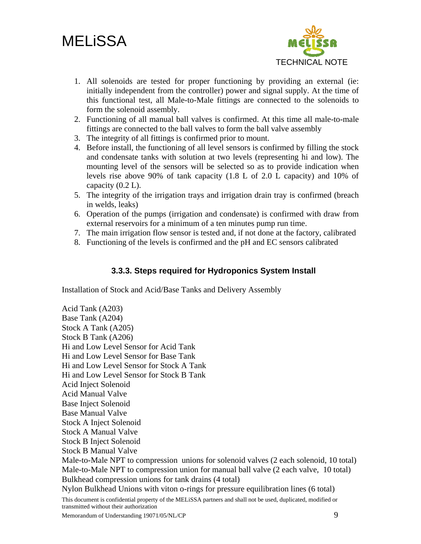# <span id="page-10-0"></span>**MELISSA**



- 1. All solenoids are tested for proper functioning by providing an external (ie: initially independent from the controller) power and signal supply. At the time of this functional test, all Male-to-Male fittings are connected to the solenoids to form the solenoid assembly.
- 2. Functioning of all manual ball valves is confirmed. At this time all male-to-male fittings are connected to the ball valves to form the ball valve assembly
- 3. The integrity of all fittings is confirmed prior to mount.
- 4. Before install, the functioning of all level sensors is confirmed by filling the stock and condensate tanks with solution at two levels (representing hi and low). The mounting level of the sensors will be selected so as to provide indication when levels rise above 90% of tank capacity (1.8 L of 2.0 L capacity) and 10% of capacity (0.2 L).
- 5. The integrity of the irrigation trays and irrigation drain tray is confirmed (breach in welds, leaks)
- 6. Operation of the pumps (irrigation and condensate) is confirmed with draw from external reservoirs for a minimum of a ten minutes pump run time.
- 7. The main irrigation flow sensor is tested and, if not done at the factory, calibrated
- 8. Functioning of the levels is confirmed and the pH and EC sensors calibrated

#### **3.3.3. Steps required for Hydroponics System Install**

Installation of Stock and Acid/Base Tanks and Delivery Assembly

This document is confidential property of the MELiSSA partners and shall not be used, duplicated, modified or transmitted without their authorization Memorandum of Understanding 19071/05/NL/CP 9 Acid Tank (A203) Base Tank (A204) Stock A Tank (A205) Stock B Tank (A206) Hi and Low Level Sensor for Acid Tank Hi and Low Level Sensor for Base Tank Hi and Low Level Sensor for Stock A Tank Hi and Low Level Sensor for Stock B Tank Acid Inject Solenoid Acid Manual Valve Base Inject Solenoid Base Manual Valve Stock A Inject Solenoid Stock A Manual Valve Stock B Inject Solenoid Stock B Manual Valve Male-to-Male NPT to compression unions for solenoid valves (2 each solenoid, 10 total) Male-to-Male NPT to compression union for manual ball valve (2 each valve, 10 total) Bulkhead compression unions for tank drains (4 total) Nylon Bulkhead Unions with viton o-rings for pressure equilibration lines (6 total)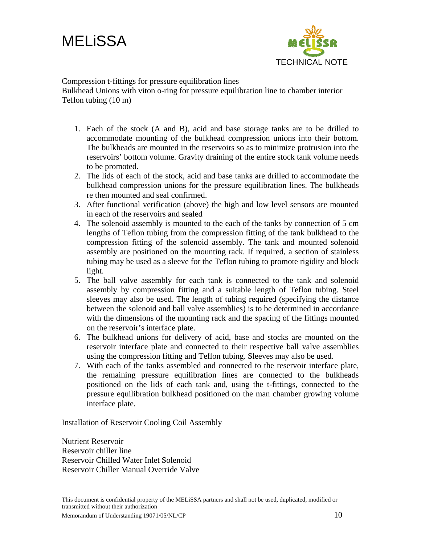



Compression t-fittings for pressure equilibration lines

Bulkhead Unions with viton o-ring for pressure equilibration line to chamber interior Teflon tubing (10 m)

- 1. Each of the stock (A and B), acid and base storage tanks are to be drilled to accommodate mounting of the bulkhead compression unions into their bottom. The bulkheads are mounted in the reservoirs so as to minimize protrusion into the reservoirs' bottom volume. Gravity draining of the entire stock tank volume needs to be promoted.
- 2. The lids of each of the stock, acid and base tanks are drilled to accommodate the bulkhead compression unions for the pressure equilibration lines. The bulkheads re then mounted and seal confirmed.
- 3. After functional verification (above) the high and low level sensors are mounted in each of the reservoirs and sealed
- 4. The solenoid assembly is mounted to the each of the tanks by connection of 5 cm lengths of Teflon tubing from the compression fitting of the tank bulkhead to the compression fitting of the solenoid assembly. The tank and mounted solenoid assembly are positioned on the mounting rack. If required, a section of stainless tubing may be used as a sleeve for the Teflon tubing to promote rigidity and block light.
- 5. The ball valve assembly for each tank is connected to the tank and solenoid assembly by compression fitting and a suitable length of Teflon tubing. Steel sleeves may also be used. The length of tubing required (specifying the distance between the solenoid and ball valve assemblies) is to be determined in accordance with the dimensions of the mounting rack and the spacing of the fittings mounted on the reservoir's interface plate.
- 6. The bulkhead unions for delivery of acid, base and stocks are mounted on the reservoir interface plate and connected to their respective ball valve assemblies using the compression fitting and Teflon tubing. Sleeves may also be used.
- 7. With each of the tanks assembled and connected to the reservoir interface plate, the remaining pressure equilibration lines are connected to the bulkheads positioned on the lids of each tank and, using the t-fittings, connected to the pressure equilibration bulkhead positioned on the man chamber growing volume interface plate.

Installation of Reservoir Cooling Coil Assembly

Nutrient Reservoir Reservoir chiller line Reservoir Chilled Water Inlet Solenoid Reservoir Chiller Manual Override Valve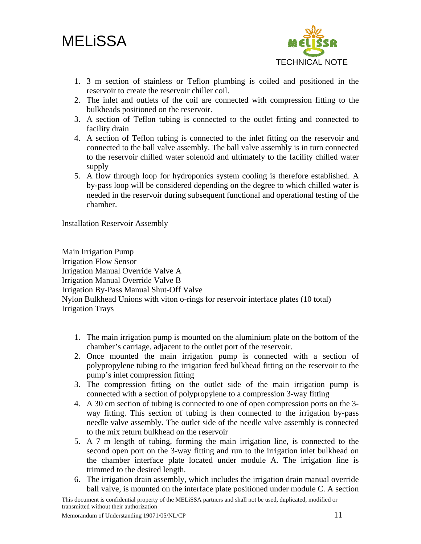



- 1. 3 m section of stainless or Teflon plumbing is coiled and positioned in the reservoir to create the reservoir chiller coil.
- 2. The inlet and outlets of the coil are connected with compression fitting to the bulkheads positioned on the reservoir.
- 3. A section of Teflon tubing is connected to the outlet fitting and connected to facility drain
- 4. A section of Teflon tubing is connected to the inlet fitting on the reservoir and connected to the ball valve assembly. The ball valve assembly is in turn connected to the reservoir chilled water solenoid and ultimately to the facility chilled water supply
- 5. A flow through loop for hydroponics system cooling is therefore established. A by-pass loop will be considered depending on the degree to which chilled water is needed in the reservoir during subsequent functional and operational testing of the chamber.

Installation Reservoir Assembly

Main Irrigation Pump Irrigation Flow Sensor Irrigation Manual Override Valve A Irrigation Manual Override Valve B Irrigation By-Pass Manual Shut-Off Valve Nylon Bulkhead Unions with viton o-rings for reservoir interface plates (10 total) Irrigation Trays

- 1. The main irrigation pump is mounted on the aluminium plate on the bottom of the chamber's carriage, adjacent to the outlet port of the reservoir.
- 2. Once mounted the main irrigation pump is connected with a section of polypropylene tubing to the irrigation feed bulkhead fitting on the reservoir to the pump's inlet compression fitting
- 3. The compression fitting on the outlet side of the main irrigation pump is connected with a section of polypropylene to a compression 3-way fitting
- 4. A 30 cm section of tubing is connected to one of open compression ports on the 3 way fitting. This section of tubing is then connected to the irrigation by-pass needle valve assembly. The outlet side of the needle valve assembly is connected to the mix return bulkhead on the reservoir
- 5. A 7 m length of tubing, forming the main irrigation line, is connected to the second open port on the 3-way fitting and run to the irrigation inlet bulkhead on the chamber interface plate located under module A. The irrigation line is trimmed to the desired length.
- 6. The irrigation drain assembly, which includes the irrigation drain manual override ball valve, is mounted on the interface plate positioned under module C. A section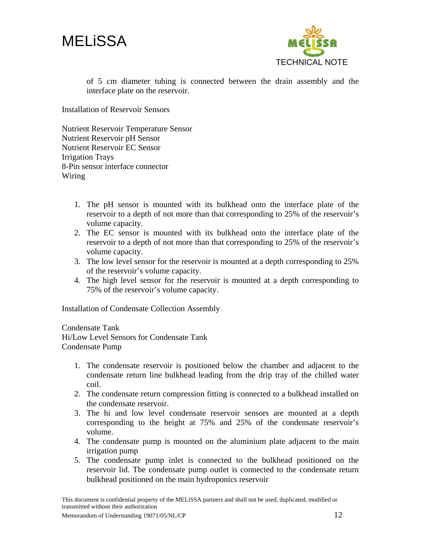



of 5 cm diameter tubing is connected between the drain assembly and the interface plate on the reservoir.

Installation of Reservoir Sensors

Nutrient Reservoir Temperature Sensor Nutrient Reservoir pH Sensor Nutrient Reservoir EC Sensor Irrigation Trays 8-Pin sensor interface connector Wiring

- 1. The pH sensor is mounted with its bulkhead onto the interface plate of the reservoir to a depth of not more than that corresponding to 25% of the reservoir's volume capacity.
- 2. The EC sensor is mounted with its bulkhead onto the interface plate of the reservoir to a depth of not more than that corresponding to 25% of the reservoir's volume capacity.
- 3. The low level sensor for the reservoir is mounted at a depth corresponding to 25% of the reservoir's volume capacity.
- 4. The high level sensor for the reservoir is mounted at a depth corresponding to 75% of the reservoir's volume capacity.

Installation of Condensate Collection Assembly

Condensate Tank Hi/Low Level Sensors for Condensate Tank Condensate Pump

- 1. The condensate reservoir is positioned below the chamber and adjacent to the condensate return line bulkhead leading from the drip tray of the chilled water coil.
- 2. The condensate return compression fitting is connected to a bulkhead installed on the condensate reservoir.
- 3. The hi and low level condensate reservoir sensors are mounted at a depth corresponding to the height at 75% and 25% of the condensate reservoir's volume.
- 4. The condensate pump is mounted on the aluminium plate adjacent to the main irrigation pump
- 5. The condensate pump inlet is connected to the bulkhead positioned on the reservoir lid. The condensate pump outlet is connected to the condensate return bulkhead positioned on the main hydroponics reservoir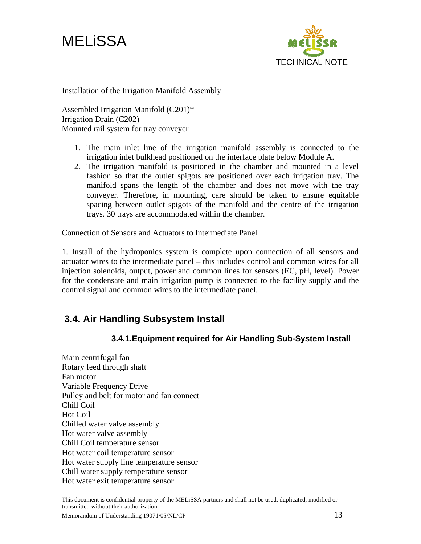<span id="page-14-0"></span>



Installation of the Irrigation Manifold Assembly

Assembled Irrigation Manifold (C201)\* Irrigation Drain (C202) Mounted rail system for tray conveyer

- 1. The main inlet line of the irrigation manifold assembly is connected to the irrigation inlet bulkhead positioned on the interface plate below Module A.
- 2. The irrigation manifold is positioned in the chamber and mounted in a level fashion so that the outlet spigots are positioned over each irrigation tray. The manifold spans the length of the chamber and does not move with the tray conveyer. Therefore, in mounting, care should be taken to ensure equitable spacing between outlet spigots of the manifold and the centre of the irrigation trays. 30 trays are accommodated within the chamber.

Connection of Sensors and Actuators to Intermediate Panel

1. Install of the hydroponics system is complete upon connection of all sensors and actuator wires to the intermediate panel – this includes control and common wires for all injection solenoids, output, power and common lines for sensors (EC, pH, level). Power for the condensate and main irrigation pump is connected to the facility supply and the control signal and common wires to the intermediate panel.

#### **3.4. Air Handling Subsystem Install**

#### **3.4.1.Equipment required for Air Handling Sub-System Install**

Main centrifugal fan Rotary feed through shaft Fan motor Variable Frequency Drive Pulley and belt for motor and fan connect Chill Coil Hot Coil Chilled water valve assembly Hot water valve assembly Chill Coil temperature sensor Hot water coil temperature sensor Hot water supply line temperature sensor Chill water supply temperature sensor Hot water exit temperature sensor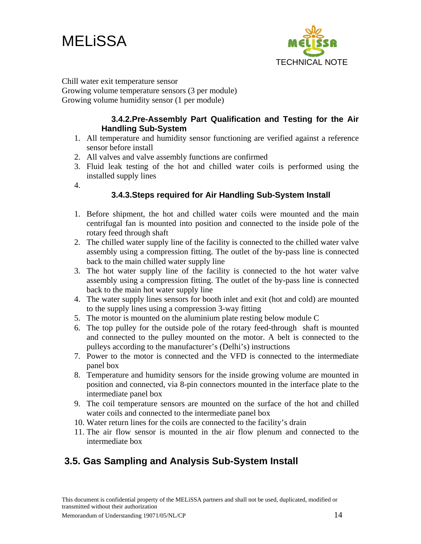<span id="page-15-0"></span>



Chill water exit temperature sensor

Growing volume temperature sensors (3 per module) Growing volume humidity sensor (1 per module)

#### **3.4.2.Pre-Assembly Part Qualification and Testing for the Air Handling Sub-System**

- 1. All temperature and humidity sensor functioning are verified against a reference sensor before install
- 2. All valves and valve assembly functions are confirmed
- 3. Fluid leak testing of the hot and chilled water coils is performed using the installed supply lines
- 4.

#### **3.4.3.Steps required for Air Handling Sub-System Install**

- 1. Before shipment, the hot and chilled water coils were mounted and the main centrifugal fan is mounted into position and connected to the inside pole of the rotary feed through shaft
- 2. The chilled water supply line of the facility is connected to the chilled water valve assembly using a compression fitting. The outlet of the by-pass line is connected back to the main chilled water supply line
- 3. The hot water supply line of the facility is connected to the hot water valve assembly using a compression fitting. The outlet of the by-pass line is connected back to the main hot water supply line
- 4. The water supply lines sensors for booth inlet and exit (hot and cold) are mounted to the supply lines using a compression 3-way fitting
- 5. The motor is mounted on the aluminium plate resting below module C
- 6. The top pulley for the outside pole of the rotary feed-through shaft is mounted and connected to the pulley mounted on the motor. A belt is connected to the pulleys according to the manufacturer's (Delhi's) instructions
- 7. Power to the motor is connected and the VFD is connected to the intermediate panel box
- 8. Temperature and humidity sensors for the inside growing volume are mounted in position and connected, via 8-pin connectors mounted in the interface plate to the intermediate panel box
- 9. The coil temperature sensors are mounted on the surface of the hot and chilled water coils and connected to the intermediate panel box
- 10. Water return lines for the coils are connected to the facility's drain
- 11. The air flow sensor is mounted in the air flow plenum and connected to the intermediate box

## **3.5. Gas Sampling and Analysis Sub-System Install**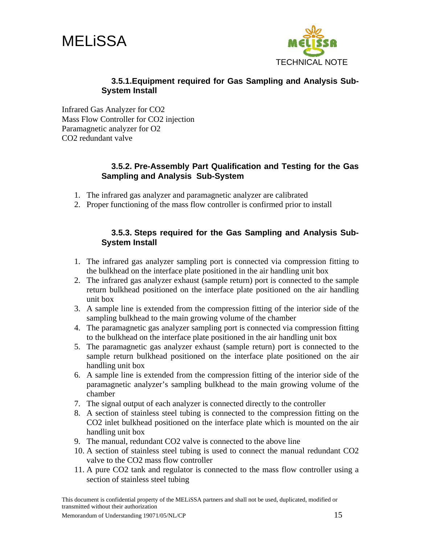<span id="page-16-0"></span>



#### **3.5.1.Equipment required for Gas Sampling and Analysis Sub-System Install**

Infrared Gas Analyzer for CO2 Mass Flow Controller for CO2 injection Paramagnetic analyzer for O2 CO2 redundant valve

#### **3.5.2. Pre-Assembly Part Qualification and Testing for the Gas Sampling and Analysis Sub-System**

- 1. The infrared gas analyzer and paramagnetic analyzer are calibrated
- 2. Proper functioning of the mass flow controller is confirmed prior to install

#### **3.5.3. Steps required for the Gas Sampling and Analysis Sub-System Install**

- 1. The infrared gas analyzer sampling port is connected via compression fitting to the bulkhead on the interface plate positioned in the air handling unit box
- 2. The infrared gas analyzer exhaust (sample return) port is connected to the sample return bulkhead positioned on the interface plate positioned on the air handling unit box
- 3. A sample line is extended from the compression fitting of the interior side of the sampling bulkhead to the main growing volume of the chamber
- 4. The paramagnetic gas analyzer sampling port is connected via compression fitting to the bulkhead on the interface plate positioned in the air handling unit box
- 5. The paramagnetic gas analyzer exhaust (sample return) port is connected to the sample return bulkhead positioned on the interface plate positioned on the air handling unit box
- 6. A sample line is extended from the compression fitting of the interior side of the paramagnetic analyzer's sampling bulkhead to the main growing volume of the chamber
- 7. The signal output of each analyzer is connected directly to the controller
- 8. A section of stainless steel tubing is connected to the compression fitting on the CO2 inlet bulkhead positioned on the interface plate which is mounted on the air handling unit box
- 9. The manual, redundant CO2 valve is connected to the above line
- 10. A section of stainless steel tubing is used to connect the manual redundant CO2 valve to the CO2 mass flow controller
- 11. A pure CO2 tank and regulator is connected to the mass flow controller using a section of stainless steel tubing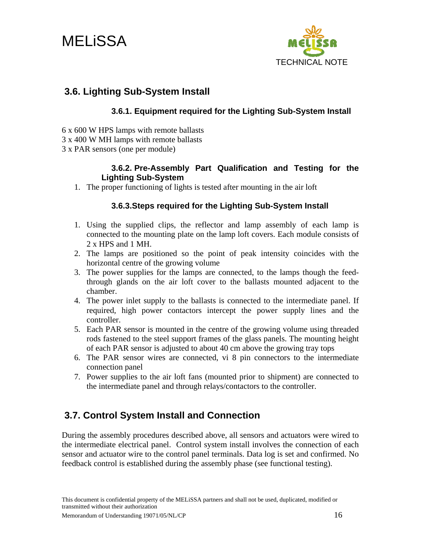<span id="page-17-0"></span>



### **3.6. Lighting Sub-System Install**

#### **3.6.1. Equipment required for the Lighting Sub-System Install**

- 6 x 600 W HPS lamps with remote ballasts
- 3 x 400 W MH lamps with remote ballasts
- 3 x PAR sensors (one per module)

#### **3.6.2. Pre-Assembly Part Qualification and Testing for the Lighting Sub-System**

1. The proper functioning of lights is tested after mounting in the air loft

#### **3.6.3.Steps required for the Lighting Sub-System Install**

- 1. Using the supplied clips, the reflector and lamp assembly of each lamp is connected to the mounting plate on the lamp loft covers. Each module consists of 2 x HPS and 1 MH.
- 2. The lamps are positioned so the point of peak intensity coincides with the horizontal centre of the growing volume
- 3. The power supplies for the lamps are connected, to the lamps though the feedthrough glands on the air loft cover to the ballasts mounted adjacent to the chamber.
- 4. The power inlet supply to the ballasts is connected to the intermediate panel. If required, high power contactors intercept the power supply lines and the controller.
- 5. Each PAR sensor is mounted in the centre of the growing volume using threaded rods fastened to the steel support frames of the glass panels. The mounting height of each PAR sensor is adjusted to about 40 cm above the growing tray tops
- 6. The PAR sensor wires are connected, vi 8 pin connectors to the intermediate connection panel
- 7. Power supplies to the air loft fans (mounted prior to shipment) are connected to the intermediate panel and through relays/contactors to the controller.

## **3.7. Control System Install and Connection**

During the assembly procedures described above, all sensors and actuators were wired to the intermediate electrical panel. Control system install involves the connection of each sensor and actuator wire to the control panel terminals. Data log is set and confirmed. No feedback control is established during the assembly phase (see functional testing).